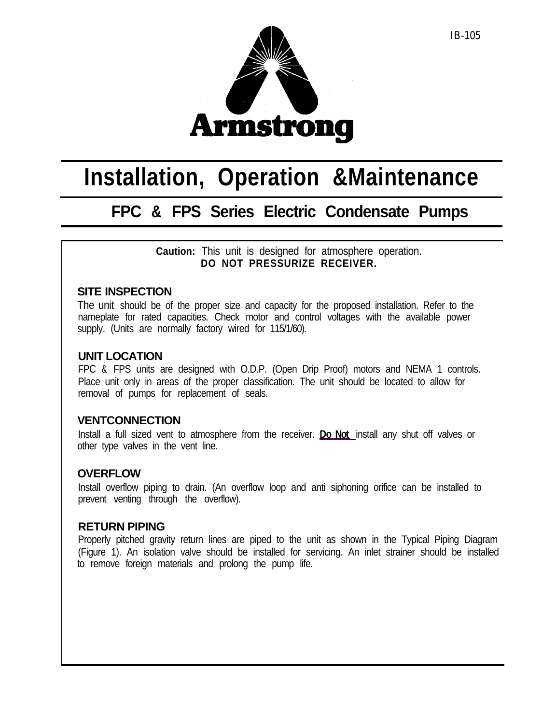

# **Installation, Operation &Maintenance**

# **FPC & FPS Series Electric Condensate Pumps**

**Caution:** This unit is designed for atmosphere operation. **DO NOT PRESSURIZE RECEIVER.**

# **SITE INSPECTION**

The unit should be of the proper size and capacity for the proposed installation. Refer to the nameplate for rated capacities. Check motor and control voltages with the available power supply. (Units are normally factory wired for 115/1/60).

#### **UNIT LOCATION**

FPC & FPS units are designed with O.D.P. (Open Drip Proof) motors and NEMA 1 controls. Place unit only in areas of the proper classification. The unit should be located to allow for removal of pumps for replacement of seals.

# **VENTCONNECTION**

Install a full sized vent to atmosphere from the receiver. **Do Not** install any shut off valves or other type valves in the vent line.

# **OVERFLOW**

Install overflow piping to drain. (An overflow loop and anti siphoning orifice can be installed to prevent venting through the overflow).

#### **RETURN PIPING**

Properly pitched gravity return lines are piped to the unit as shown in the Typical Piping Diagram (Figure 1). An isolation valve should be installed for servicing. An inlet strainer should be installed to remove foreign materials and prolong the pump life.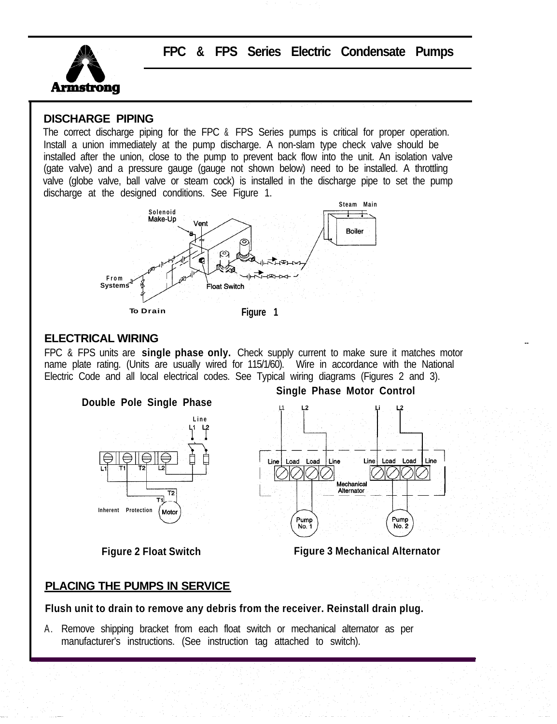

**FPC & FPS Series Electric Condensate Pumps**

### **DISCHARGE PIPING**

The correct discharge piping for the FPC & FPS Series pumps is critical for proper operation. Install a union immediately at the pump discharge. A non-slam type check valve should be installed after the union, close to the pump to prevent back flow into the unit. An isolation valve (gate valve) and a pressure gauge (gauge not shown below) need to be installed. A throttling valve (globe valve, ball valve or steam cock) is installed in the discharge pipe to set the pump discharge at the designed conditions. See Figure 1.



#### **ELECTRICAL WIRING**

FPC & FPS units are **single phase only.** Check supply current to make sure it matches motor name plate rating. (Units are usually wired for 115/1/60). Wire in accordance with the National Electric Code and all local electrical codes. See Typical wiring diagrams (Figures 2 and 3).



**Single Phase Motor Control**



**Figure 2 Float Switch Figure 3 Mechanical Alternator**

# **PLACING THE PUMPS IN SERVICE**

**Flush unit to drain to remove any debris from the receiver. Reinstall drain plug.**

A . Remove shipping bracket from each float switch or mechanical alternator as per manufacturer's instructions. (See instruction tag attached to switch).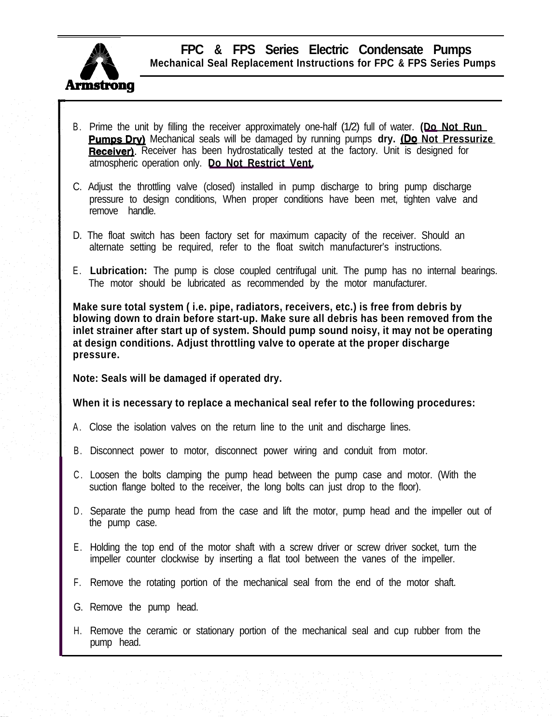

**FPC & FPS Series Electric Condensate Pumps Mechanical Seal Replacement Instructions for FPC & FPS Series Pumps**

- B . Prime the unit by filling the receiver approximately one-half (1/2) full of water. **(Do Not Run <u>umps Dry)</u> Mechanical seals will be damaged by running pumps <b>dry. <u>(Do Not Pressurize</u>** Prime the unit by filling the receiver approximately one-half (1/2) full of water. (Do Not R<br> **Pumps Dry)** Mechanical seals will be damaged by running pumps **dry. (Do Not Press**<br> **Receiver)**. Receiver has been hydrostatica atmospheric operation only. **Do Not Restrict Vent.**
- C. Adjust the throttling valve (closed) installed in pump discharge to bring pump discharge pressure to design conditions, When proper conditions have been met, tighten valve and remove handle.
- D. The float switch has been factory set for maximum capacity of the receiver. Should an alternate setting be required, refer to the float switch manufacturer's instructions.
- E . **Lubrication:** The pump is close coupled centrifugal unit. The pump has no internal bearings. The motor should be lubricated as recommended by the motor manufacturer.

**Make sure total system ( i.e. pipe, radiators, receivers, etc.) is free from debris by blowing down to drain before start-up. Make sure all debris has been removed from the inlet strainer after start up of system. Should pump sound noisy, it may not be operating at design conditions. Adjust throttling valve to operate at the proper discharge pressure.**

**Note: Seals will be damaged if operated dry.**

# **When it is necessary to replace a mechanical seal refer to the following procedures:**

- A . Close the isolation valves on the return line to the unit and discharge lines.
- B. Disconnect power to motor, disconnect power wiring and conduit from motor.
- C . Loosen the bolts clamping the pump head between the pump case and motor. (With the suction flange bolted to the receiver, the long bolts can just drop to the floor).
- D. Separate the pump head from the case and lift the motor, pump head and the impeller out of the pump case.
- E . Holding the top end of the motor shaft with a screw driver or screw driver socket, turn the impeller counter clockwise by inserting a flat tool between the vanes of the impeller.
- F. Remove the rotating portion of the mechanical seal from the end of the motor shaft.
- G. Remove the pump head.
- H. Remove the ceramic or stationary portion of the mechanical seal and cup rubber from the pump head.